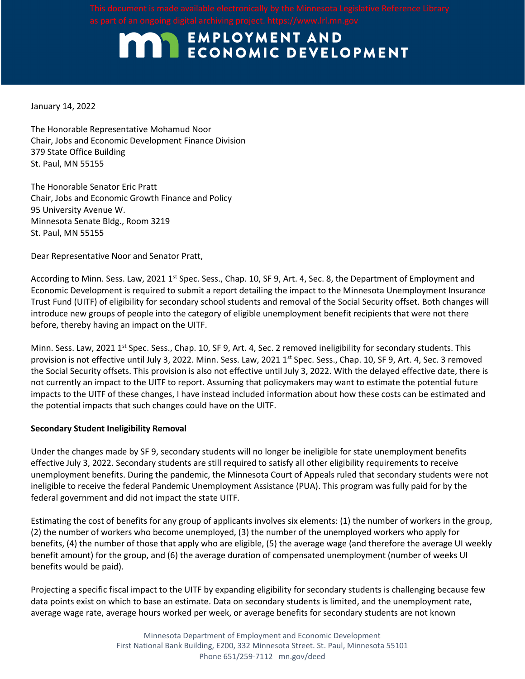## **MAN EMPLOYMENT AND ECONOMIC DEVELOPMENT**

January 14, 2022

The Honorable Representative Mohamud Noor Chair, Jobs and Economic Development Finance Division 379 State Office Building St. Paul, MN 55155

The Honorable Senator Eric Pratt Chair, Jobs and Economic Growth Finance and Policy 95 University Avenue W. Minnesota Senate Bldg., Room 3219 St. Paul, MN 55155

Dear Representative Noor and Senator Pratt,

According to Minn. Sess. Law, 2021 1<sup>st</sup> Spec. Sess., Chap. 10, SF 9, Art. 4, Sec. 8, the Department of Employment and Economic Development is required to submit a report detailing the impact to the Minnesota Unemployment Insurance Trust Fund (UITF) of eligibility for secondary school students and removal of the Social Security offset. Both changes will introduce new groups of people into the category of eligible unemployment benefit recipients that were not there before, thereby having an impact on the UITF.

Minn. Sess. Law, 2021 1<sup>st</sup> Spec. Sess., Chap. 10, SF 9, Art. 4, Sec. 2 removed ineligibility for secondary students. This provision is not effective until July 3, 2022. Minn. Sess. Law, 2021 1<sup>st</sup> Spec. Sess., Chap. 10, SF 9, Art. 4, Sec. 3 removed the Social Security offsets. This provision is also not effective until July 3, 2022. With the delayed effective date, there is not currently an impact to the UITF to report. Assuming that policymakers may want to estimate the potential future impacts to the UITF of these changes, I have instead included information about how these costs can be estimated and the potential impacts that such changes could have on the UITF.

### **Secondary Student Ineligibility Removal**

Under the changes made by SF 9, secondary students will no longer be ineligible for state unemployment benefits effective July 3, 2022. Secondary students are still required to satisfy all other eligibility requirements to receive unemployment benefits. During the pandemic, the Minnesota Court of Appeals ruled that secondary students were not ineligible to receive the federal Pandemic Unemployment Assistance (PUA). This program was fully paid for by the federal government and did not impact the state UITF.

Estimating the cost of benefits for any group of applicants involves six elements: (1) the number of workers in the group, (2) the number of workers who become unemployed, (3) the number of the unemployed workers who apply for benefits, (4) the number of those that apply who are eligible, (5) the average wage (and therefore the average UI weekly benefit amount) for the group, and (6) the average duration of compensated unemployment (number of weeks UI benefits would be paid).

Projecting a specific fiscal impact to the UITF by expanding eligibility for secondary students is challenging because few data points exist on which to base an estimate. Data on secondary students is limited, and the unemployment rate, average wage rate, average hours worked per week, or average benefits for secondary students are not known